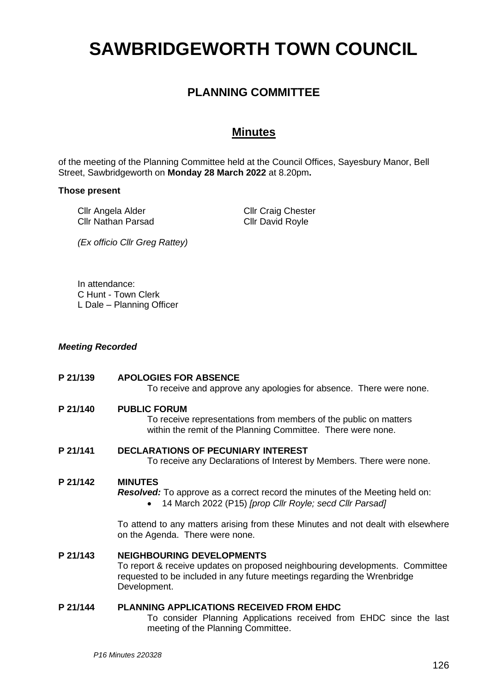# **SAWBRIDGEWORTH TOWN COUNCIL**

# **PLANNING COMMITTEE**

## **Minutes**

of the meeting of the Planning Committee held at the Council Offices, Sayesbury Manor, Bell Street, Sawbridgeworth on **Monday 28 March 2022** at 8.20pm**.**

#### **Those present**

Cllr Angela Alder Cllr Nathan Parsad Cllr Craig Chester Cllr David Royle

*(Ex officio Cllr Greg Rattey)*

In attendance: C Hunt - Town Clerk L Dale – Planning Officer

#### *Meeting Recorded*

# **P 21/139 APOLOGIES FOR ABSENCE** To receive and approve any apologies for absence. There were none. **P 21/140 PUBLIC FORUM** To receive representations from members of the public on matters within the remit of the Planning Committee. There were none. **P 21/141 DECLARATIONS OF PECUNIARY INTEREST** To receive any Declarations of Interest by Members. There were none. **P 21/142 MINUTES** *Resolved:* To approve as a correct record the minutes of the Meeting held on: • 14 March 2022 (P15) *[prop Cllr Royle; secd Cllr Parsad]* To attend to any matters arising from these Minutes and not dealt with elsewhere on the Agenda. There were none. **P 21/143 NEIGHBOURING DEVELOPMENTS** To report & receive updates on proposed neighbouring developments. Committee requested to be included in any future meetings regarding the Wrenbridge

#### **P 21/144 PLANNING APPLICATIONS RECEIVED FROM EHDC**

To consider Planning Applications received from EHDC since the last meeting of the Planning Committee.

Development.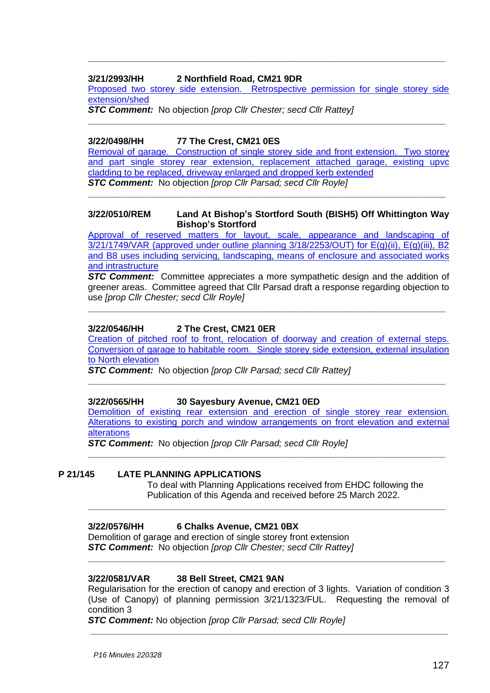#### **3/21/2993/HH 2 Northfield Road, CM21 9DR**

Proposed two storey side extension. Retrospective permission for single storey side [extension/shed](https://publicaccess.eastherts.gov.uk/online-applications/applicationDetails.do?activeTab=documents&keyVal=R3FFO3GLIBU00)

**\_\_\_\_\_\_\_\_\_\_\_\_\_\_\_\_\_\_\_\_\_\_\_\_\_\_\_\_\_\_\_\_\_\_\_\_\_\_\_\_\_\_\_\_\_\_\_\_\_\_\_\_\_\_\_\_\_\_\_\_\_\_\_\_\_\_\_\_\_\_\_**

**\_\_\_\_\_\_\_\_\_\_\_\_\_\_\_\_\_\_\_\_\_\_\_\_\_\_\_\_\_\_\_\_\_\_\_\_\_\_\_\_\_\_\_\_\_\_\_\_\_\_\_\_\_\_\_\_\_\_\_\_\_\_\_\_\_**

*STC Comment:* No objection *[prop Cllr Chester; secd Cllr Rattey]*

#### **3/22/0498/HH 77 The Crest, CM21 0ES**

[Removal of garage. Construction of single storey side and front extension. Two storey](https://publicaccess.eastherts.gov.uk/online-applications/applicationDetails.do?activeTab=documents&keyVal=R8FDHHGLJTT00)  [and part single storey rear extension, replacement attached garage, existing upvc](https://publicaccess.eastherts.gov.uk/online-applications/applicationDetails.do?activeTab=documents&keyVal=R8FDHHGLJTT00)  [cladding to be replaced, driveway enlarged and dropped kerb extended](https://publicaccess.eastherts.gov.uk/online-applications/applicationDetails.do?activeTab=documents&keyVal=R8FDHHGLJTT00) *STC Comment:* No objection *[prop Cllr Parsad; secd Cllr Royle]*

**\_\_\_\_\_\_\_\_\_\_\_\_\_\_\_\_\_\_\_\_\_\_\_\_\_\_\_\_\_\_\_\_\_\_\_\_\_\_\_\_\_\_\_\_\_\_\_\_\_\_\_\_\_\_\_\_\_\_\_\_\_\_\_\_\_\_\_\_\_\_\_**

#### **3/22/0510/REM Land At Bishop's Stortford South (BISH5) Off Whittington Way Bishop's Stortford**

[Approval of reserved matters for layout, scale, appearance and landscaping of](https://publicaccess.eastherts.gov.uk/online-applications/applicationDetails.do?activeTab=documents&keyVal=R8HGCUGL00X00)  [3/21/1749/VAR \(approved under outline planning 3/18/2253/OUT\) for E\(g\)\(ii\), E\(g\)\(iii\), B2](https://publicaccess.eastherts.gov.uk/online-applications/applicationDetails.do?activeTab=documents&keyVal=R8HGCUGL00X00)  [and B8 uses including servicing, landscaping, means of enclosure and associated works](https://publicaccess.eastherts.gov.uk/online-applications/applicationDetails.do?activeTab=documents&keyVal=R8HGCUGL00X00)  [and intrastructure](https://publicaccess.eastherts.gov.uk/online-applications/applicationDetails.do?activeTab=documents&keyVal=R8HGCUGL00X00)

*STC Comment:* Committee appreciates a more sympathetic design and the addition of greener areas. Committee agreed that Cllr Parsad draft a response regarding objection to use *[prop Cllr Chester; secd Cllr Royle]*

**\_\_\_\_\_\_\_\_\_\_\_\_\_\_\_\_\_\_\_\_\_\_\_\_\_\_\_\_\_\_\_\_\_\_\_\_\_\_\_\_\_\_\_\_\_\_\_\_\_\_\_\_\_\_\_\_\_\_\_\_\_\_\_\_\_\_\_\_\_\_\_**

## **3/22/0546/HH 2 The Crest, CM21 0ER**

[Creation of pitched roof to front, relocation of doorway and creation of external steps.](https://publicaccess.eastherts.gov.uk/online-applications/applicationDetails.do?activeTab=documents&keyVal=R8QHEXGLJXI00)  Conversion of garage [to habitable room. Single storey side extension, external insulation](https://publicaccess.eastherts.gov.uk/online-applications/applicationDetails.do?activeTab=documents&keyVal=R8QHEXGLJXI00)  [to North elevation](https://publicaccess.eastherts.gov.uk/online-applications/applicationDetails.do?activeTab=documents&keyVal=R8QHEXGLJXI00)

**\_\_\_\_\_\_\_\_\_\_\_\_\_\_\_\_\_\_\_\_\_\_\_\_\_\_\_\_\_\_\_\_\_\_\_\_\_\_\_\_\_\_\_\_\_\_\_\_\_\_\_\_\_\_\_\_\_\_\_\_\_\_\_\_\_\_\_\_\_\_\_**

*STC Comment:* No objection *[prop Cllr Parsad; secd Cllr Rattey]*

#### **3/22/0565/HH 30 Sayesbury Avenue, CM21 0ED**

Demolition [of existing rear extension and erection of single storey rear extension.](https://publicaccess.eastherts.gov.uk/online-applications/applicationDetails.do?activeTab=documents&keyVal=R8TVLGGLJYS00)  [Alterations to existing porch and window arrangements on front elevation and external](https://publicaccess.eastherts.gov.uk/online-applications/applicationDetails.do?activeTab=documents&keyVal=R8TVLGGLJYS00)  [alterations](https://publicaccess.eastherts.gov.uk/online-applications/applicationDetails.do?activeTab=documents&keyVal=R8TVLGGLJYS00)

**\_\_\_\_\_\_\_\_\_\_\_\_\_\_\_\_\_\_\_\_\_\_\_\_\_\_\_\_\_\_\_\_\_\_\_\_\_\_\_\_\_\_\_\_\_\_\_\_\_\_\_\_\_\_\_\_\_\_\_\_\_\_\_\_\_\_\_\_\_\_\_**

**\_\_\_\_\_\_\_\_\_\_\_\_\_\_\_\_\_\_\_\_\_\_\_\_\_\_\_\_\_\_\_\_\_\_\_\_\_\_\_\_\_\_\_\_\_\_\_\_\_\_\_\_\_\_\_\_\_\_\_\_\_\_\_\_\_\_\_\_\_\_\_**

**\_\_\_\_\_\_\_\_\_\_\_\_\_\_\_\_\_\_\_\_\_\_\_\_\_\_\_\_\_\_\_\_\_\_\_\_\_\_\_\_\_\_\_\_\_\_\_\_\_\_\_\_\_\_\_\_\_\_\_\_\_\_\_\_\_\_\_\_\_\_\_**

*STC Comment:* No objection *[prop Cllr Parsad; secd Cllr Royle]*

#### **P 21/145 LATE PLANNING APPLICATIONS**

To deal with Planning Applications received from EHDC following the Publication of this Agenda and received before 25 March 2022.

#### **3/22/0576/HH 6 Chalks Avenue, CM21 0BX**

Demolition of garage and erection of single storey front extension *STC Comment:* No objection *[prop Cllr Chester; secd Cllr Rattey]*

#### **3/22/0581/VAR 38 Bell Street, CM21 9AN**

Regularisation for the erection of canopy and erection of 3 lights. Variation of condition 3 (Use of Canopy) of planning permission 3/21/1323/FUL. Requesting the removal of condition 3

**\_\_\_\_\_\_\_\_\_\_\_\_\_\_\_\_\_\_\_\_\_\_\_\_\_\_\_\_\_\_\_\_\_\_\_\_\_\_\_\_\_\_\_\_\_\_\_\_\_\_\_\_\_\_\_\_\_\_\_\_\_\_\_\_\_\_\_\_\_\_\_**

*STC Comment:* No objection *[prop Cllr Parsad; secd Cllr Royle]*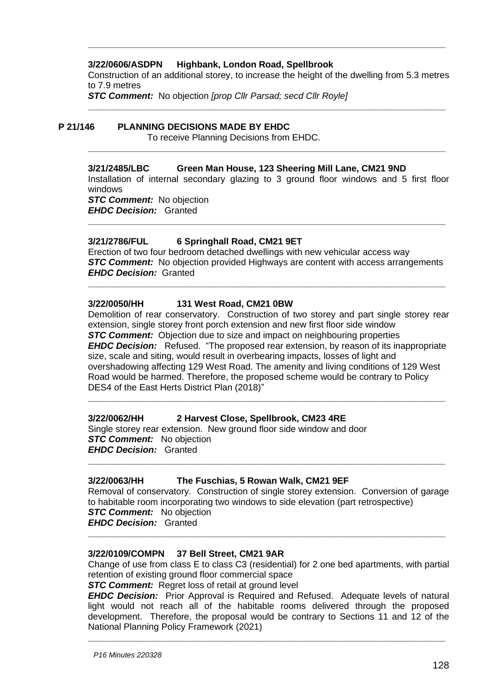#### **3/22/0606/ASDPN Highbank, London Road, Spellbrook**

Construction of an additional storey, to increase the height of the dwelling from 5.3 metres to 7.9 metres

**\_\_\_\_\_\_\_\_\_\_\_\_\_\_\_\_\_\_\_\_\_\_\_\_\_\_\_\_\_\_\_\_\_\_\_\_\_\_\_\_\_\_\_\_\_\_\_\_\_\_\_\_\_\_\_\_\_\_\_\_\_\_\_\_\_\_\_\_\_\_\_**

**\_\_\_\_\_\_\_\_\_\_\_\_\_\_\_\_\_\_\_\_\_\_\_\_\_\_\_\_\_\_\_\_\_\_\_\_\_\_\_\_\_\_\_\_\_\_\_\_\_\_\_\_\_\_\_\_\_\_\_\_\_\_\_\_\_\_\_\_\_\_\_**

**\_\_\_\_\_\_\_\_\_\_\_\_\_\_\_\_\_\_\_\_\_\_\_\_\_\_\_\_\_\_\_\_\_\_\_\_\_\_\_\_\_\_\_\_\_\_\_\_\_\_\_\_\_\_\_\_\_\_\_\_\_\_\_\_\_\_\_\_\_\_\_**

*STC Comment:* No objection *[prop Cllr Parsad; secd Cllr Royle]*

#### **P 21/146 PLANNING DECISIONS MADE BY EHDC**

To receive Planning Decisions from EHDC.

#### **3/21/2485/LBC Green Man House, 123 Sheering Mill Lane, CM21 9ND**

Installation of internal secondary glazing to 3 ground floor windows and 5 first floor windows

*STC Comment:* No objection *EHDC Decision:* Granted

#### **3/21/2786/FUL 6 Springhall Road, CM21 9ET**

Erection of two four bedroom detached dwellings with new vehicular access way **STC Comment:** No objection provided Highways are content with access arrangements *EHDC Decision:* Granted

**\_\_\_\_\_\_\_\_\_\_\_\_\_\_\_\_\_\_\_\_\_\_\_\_\_\_\_\_\_\_\_\_\_\_\_\_\_\_\_\_\_\_\_\_\_\_\_\_\_\_\_\_\_\_\_\_\_\_\_\_\_\_\_\_\_\_\_\_\_\_\_**

**\_\_\_\_\_\_\_\_\_\_\_\_\_\_\_\_\_\_\_\_\_\_\_\_\_\_\_\_\_\_\_\_\_\_\_\_\_\_\_\_\_\_\_\_\_\_\_\_\_\_\_\_\_\_\_\_\_\_\_\_\_\_\_\_\_\_\_\_\_\_\_**

#### **3/22/0050/HH 131 West Road, CM21 0BW**

Demolition of rear conservatory. Construction of two storey and part single storey rear extension, single storey front porch extension and new first floor side window **STC Comment:** Objection due to size and impact on neighbouring properties *EHDC Decision:* Refused. "The proposed rear extension, by reason of its inappropriate size, scale and siting, would result in overbearing impacts, losses of light and overshadowing affecting 129 West Road. The amenity and living conditions of 129 West Road would be harmed. Therefore, the proposed scheme would be contrary to Policy DES4 of the East Herts District Plan (2018)"

**\_\_\_\_\_\_\_\_\_\_\_\_\_\_\_\_\_\_\_\_\_\_\_\_\_\_\_\_\_\_\_\_\_\_\_\_\_\_\_\_\_\_\_\_\_\_\_\_\_\_\_\_\_\_\_\_\_\_\_\_\_\_\_\_\_\_\_\_\_\_\_**

**\_\_\_\_\_\_\_\_\_\_\_\_\_\_\_\_\_\_\_\_\_\_\_\_\_\_\_\_\_\_\_\_\_\_\_\_\_\_\_\_\_\_\_\_\_\_\_\_\_\_\_\_\_\_\_\_\_\_\_\_\_\_\_\_\_\_\_\_\_\_\_**

#### **3/22/0062/HH 2 Harvest Close, Spellbrook, CM23 4RE**

Single storey rear extension. New ground floor side window and door *STC Comment:* No objection *EHDC Decision:* Granted

#### **3/22/0063/HH The Fuschias, 5 Rowan Walk, CM21 9EF**

Removal of conservatory. Construction of single storey extension. Conversion of garage to habitable room incorporating two windows to side elevation (part retrospective) *STC Comment:* No objection *EHDC Decision:* Granted **\_\_\_\_\_\_\_\_\_\_\_\_\_\_\_\_\_\_\_\_\_\_\_\_\_\_\_\_\_\_\_\_\_\_\_\_\_\_\_\_\_\_\_\_\_\_\_\_\_\_\_\_\_\_\_\_\_\_\_\_\_\_\_\_\_\_\_\_\_\_\_**

#### **3/22/0109/COMPN 37 Bell Street, CM21 9AR**

Change of use from class E to class C3 (residential) for 2 one bed apartments, with partial retention of existing ground floor commercial space

**STC Comment:** Regret loss of retail at ground level

*EHDC Decision:* Prior Approval is Required and Refused. Adequate levels of natural light would not reach all of the habitable rooms delivered through the proposed development. Therefore, the proposal would be contrary to Sections 11 and 12 of the National Planning Policy Framework (2021)

**\_\_\_\_\_\_\_\_\_\_\_\_\_\_\_\_\_\_\_\_\_\_\_\_\_\_\_\_\_\_\_\_\_\_\_\_\_\_\_\_\_\_\_\_\_\_\_\_\_\_\_\_\_\_\_\_\_\_\_\_\_\_\_\_\_\_\_\_\_\_\_**